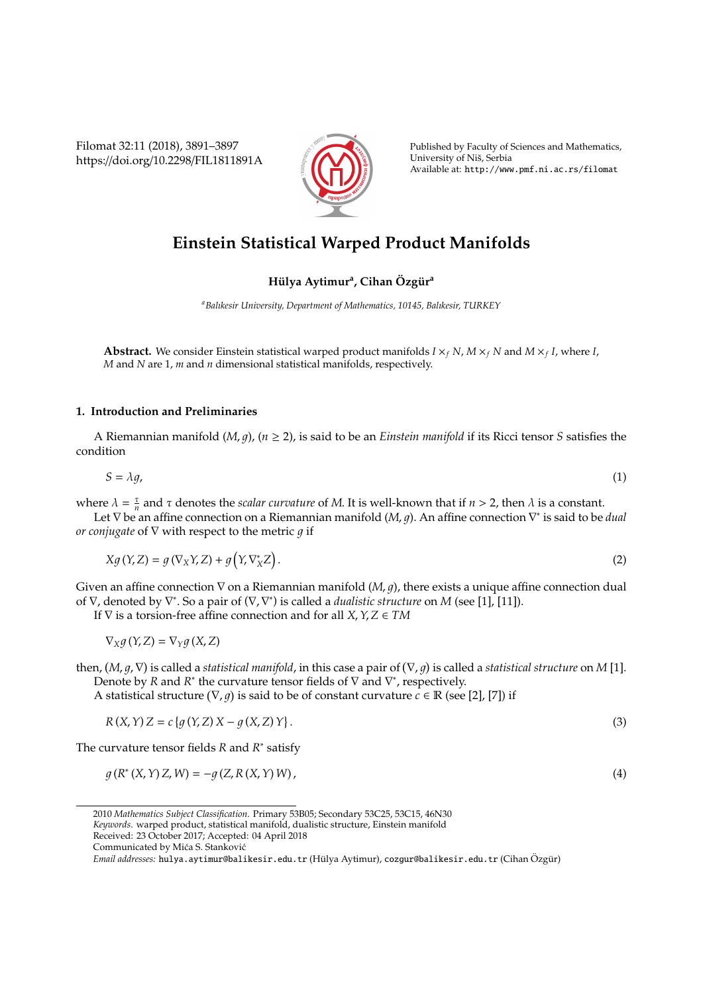Filomat 32:11 (2018), 3891–3897 https://doi.org/10.2298/FIL1811891A



Published by Faculty of Sciences and Mathematics, University of Niš, Serbia Available at: http://www.pmf.ni.ac.rs/filomat

# **Einstein Statistical Warped Product Manifolds**

## $H$ ülya Aytimur<sup>a</sup>, Cihan Özgür<sup>a</sup>

*<sup>a</sup>Balıkesir University, Department of Mathematics, 10145, Balıkesir, TURKEY*

**Abstract.** We consider Einstein statistical warped product manifolds  $I \times_f N$ ,  $M \times_f N$  and  $M \times_f I$ , where *I*, *M* and *N* are 1, *m* and *n* dimensional statistical manifolds, respectively.

### **1. Introduction and Preliminaries**

A Riemannian manifold  $(M, g)$ ,  $(n \geq 2)$ , is said to be an *Einstein manifold* if its Ricci tensor *S* satisfies the condition

$$
S = \lambda g,\tag{1}
$$

where  $\lambda = \frac{\tau}{n}$  and  $\tau$  denotes the *scalar curvature* of *M*. It is well-known that if  $n > 2$ , then  $\lambda$  is a constant.

Let ∇ be an affine connection on a Riemannian manifold (*M, g*). An affine connection ∇<sup>\*</sup> is said to be *dual or conjugate* of ∇ with respect to the metric *g* if

$$
Xg(Y,Z) = g(\nabla_X Y, Z) + g(Y, \nabla_X^* Z). \tag{2}
$$

Given an affine connection  $\nabla$  on a Riemannian manifold  $(M, q)$ , there exists a unique affine connection dual of ∇, denoted by ∇<sup>\*</sup>. So a pair of (∇, ∇<sup>\*</sup>) is called a *dualistic structure* on *M* (see [1], [11]).

If ∇ is a torsion-free affine connection and for all *X*,*Y*,*Z* ∈ *TM*

$$
\nabla_X g(Y,Z) = \nabla_Y g(X,Z)
$$

then,  $(M, g, \nabla)$  is called a *statistical manifold*, in this case a pair of  $(\nabla, g)$  is called a *statistical structure* on M [1]. Denote by *R* and *R*<sup>\*</sup> the curvature tensor fields of  $\nabla$  and  $\nabla^*$ , respectively.

A statistical structure  $(\nabla, g)$  is said to be of constant curvature  $c \in \mathbb{R}$  (see [2], [7]) if

$$
R(X, Y) Z = c \{ g(Y, Z) X - g(X, Z) Y \}.
$$
\n(3)

The curvature tensor fields *R* and *R* ∗ satisfy

$$
g(R^{*}(X,Y)Z,W) = -g(Z,R(X,Y)W),
$$
\n(4)

Received: 23 October 2017; Accepted: 04 April 2018

<sup>2010</sup> *Mathematics Subject Classification*. Primary 53B05; Secondary 53C25, 53C15, 46N30 *Keywords*. warped product, statistical manifold, dualistic structure, Einstein manifold

Communicated by Mića S. Stanković

*Email addresses:* hulya.aytimur@balikesir.edu.tr (Hülya Aytimur), cozgur@balikesir.edu.tr (Cihan Özgür)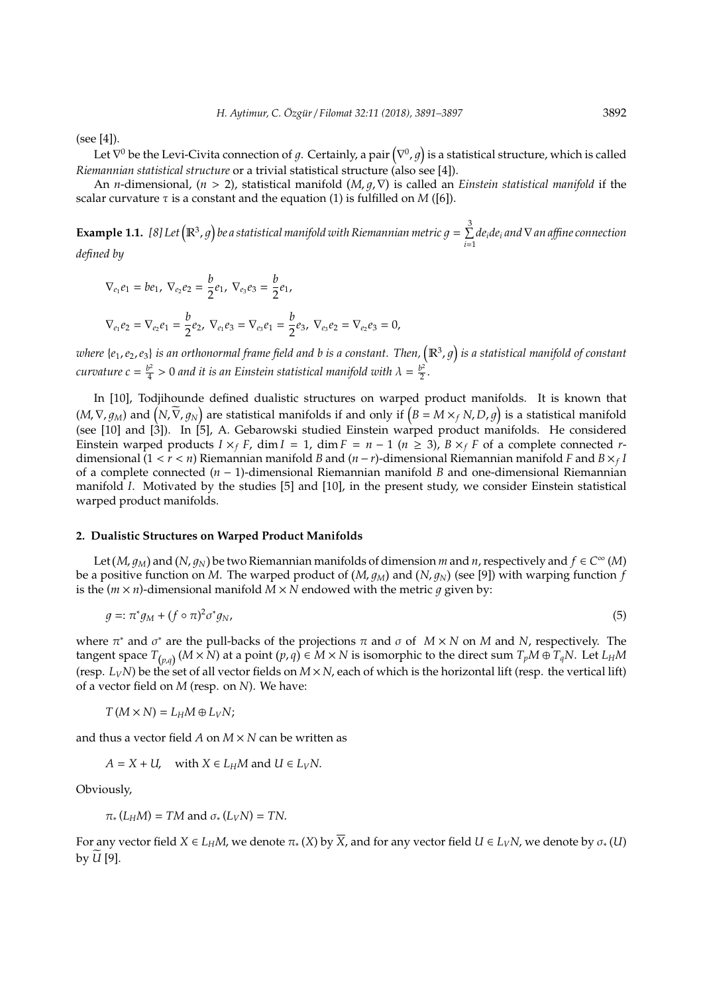(see [4]).

Let  $\nabla^0$  be the Levi-Civita connection of  $g$ . Certainly, a pair  $\big(\nabla^0,g\big)$  is a statistical structure, which is called *Riemannian statistical structure* or a trivial statistical structure (also see [4]).

An *n*-dimensional,  $(n > 2)$ , statistical manifold  $(M, g, \nabla)$  is called an *Einstein statistical manifold* if the scalar curvature  $\tau$  is a constant and the equation (1) is fulfilled on *M* ([6]).

**Example 1.1.** [8] Let  $(\mathbb{R}^3, g)$  be a statistical manifold with Riemannian metric  $g = \sum^3$ *i*=1 *deide<sup>i</sup> and*∇*an a*ffi*ne connection*

*defined by*

$$
\nabla_{e_1} e_1 = b e_1, \nabla_{e_2} e_2 = \frac{b}{2} e_1, \nabla_{e_3} e_3 = \frac{b}{2} e_1,
$$
\n
$$
\nabla_{e_1} e_2 = \nabla_{e_2} e_1 = \frac{b}{2} e_2, \nabla_{e_1} e_3 = \nabla_{e_3} e_1 = \frac{b}{2} e_3, \nabla_{e_3} e_2 = \nabla_{e_2} e_3 = 0,
$$

where {e<sub>1</sub>, e<sub>2</sub>, e<sub>3</sub>} is an orthonormal frame field and b is a constant. Then,  $(\R^3,g)$  is a statistical manifold of constant *curvature*  $c = \frac{b^2}{4}$  $\frac{b^2}{4}$  > 0 and it is an Einstein statistical manifold with  $\lambda = \frac{b^2}{2}$  $\frac{p}{2}$ .

In [10], Todjihounde defined dualistic structures on warped product manifolds. It is known that  $(M, \nabla, g_M)$  and  $(N, \widetilde{\nabla}, g_N)$  are statistical manifolds if and only if  $(B = M \times_f N, D, g)$  is a statistical manifold (see [10] and [3]). In [5], A. Gebarowski studied Einstein warped product manifolds. He considered Einstein warped products  $I \times_f F$ , dim  $I = 1$ , dim  $F = n - 1$  ( $n \ge 3$ ),  $B \times_f F$  of a complete connected *r*dimensional (1 < *r* < *n*) Riemannian manifold *B* and (*n* − *r*)-dimensional Riemannian manifold *F* and *B* ×*<sup>f</sup> I* of a complete connected (*n* − 1)-dimensional Riemannian manifold *B* and one-dimensional Riemannian manifold *I*. Motivated by the studies [5] and [10], in the present study, we consider Einstein statistical warped product manifolds.

#### **2. Dualistic Structures on Warped Product Manifolds**

Let  $(M, g_M)$  and  $(N, g_N)$  be two Riemannian manifolds of dimension *m* and *n*, respectively and  $f \in C^{\infty}(M)$ be a positive function on M. The warped product of  $(M, g_M)$  and  $(N, g_N)$  (see [9]) with warping function  $f$ is the  $(m \times n)$ -dimensional manifold  $M \times N$  endowed with the metric q given by:

$$
g =: \pi^* g_M + (f \circ \pi)^2 \sigma^* g_N,\tag{5}
$$

where  $\pi^*$  and  $\sigma^*$  are the pull-backs of the projections  $\pi$  and  $\sigma$  of  $M \times N$  on  $M$  and  $N$ , respectively. The tangent space  $T_{(p,q)}(M\times N)$  at a point  $(p,q)\in M\times N$  is isomorphic to the direct sum  $T_pM\oplus T_qN$ . Let  $L_HM$ (resp.  $L_VN$ ) be the set of all vector fields on  $M \times N$ , each of which is the horizontal lift (resp. the vertical lift) of a vector field on *M* (resp. on *N*). We have:

$$
T(M\times N)=L_HM\oplus L_VN;
$$

and thus a vector field  $A$  on  $M \times N$  can be written as

 $A = X + U$ , with  $X \in L_H M$  and  $U \in L_V N$ .

Obviously,

$$
\pi_*(L_H M) = TM
$$
 and  $\sigma_*(L_V N) = TN$ .

For any vector field  $X \in L_H M$ , we denote  $\pi_*(X)$  by  $\overline{X}$ , and for any vector field  $U \in L_V N$ , we denote by  $\sigma_*(U)$ by  $\widetilde{U}$  [9].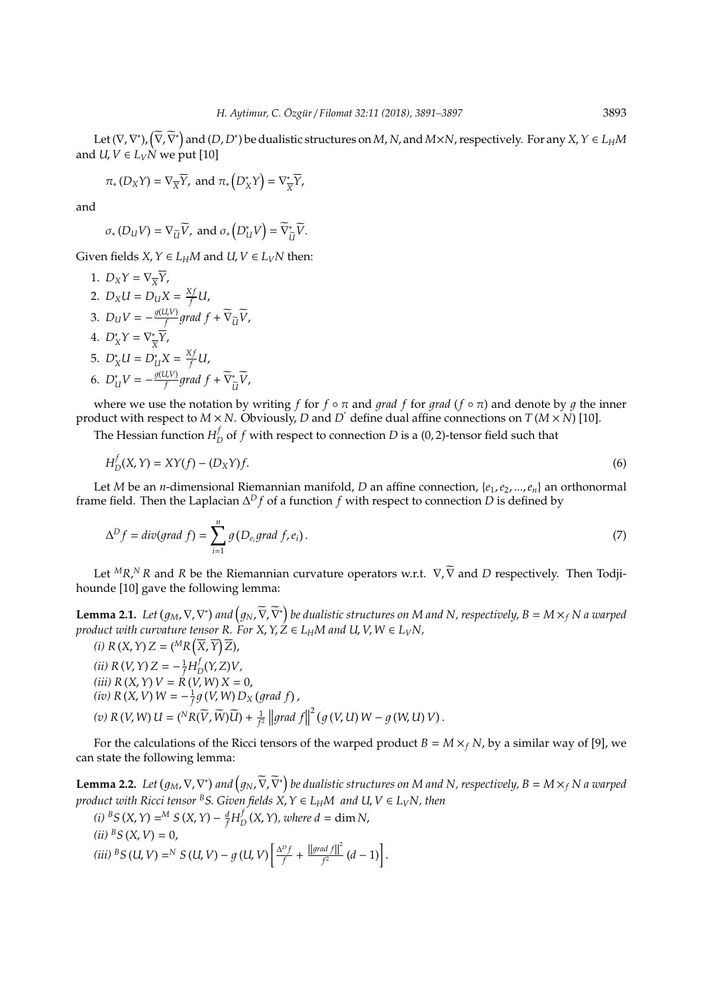Let  $(\nabla, \nabla^*), (\widetilde{\nabla}, \widetilde{\nabla}^*)$  and  $(D, D^*)$  be dualistic structures on  $M$ ,  $N$ , and  $M \times N$ , respectively. For any  $X, Y \in L_H M$ and *U*,  $V \in L_V \dot{N}$  we put [10]

$$
\pi_*(D_XY) = \nabla_{\overline{X}}\overline{Y}
$$
, and  $\pi_*(D_X^*Y) = \nabla_{\overline{X}}^*\overline{Y}$ ,

and

$$
\sigma_*(D_U V) = \nabla_{\widetilde{U}} \widetilde{V}
$$
, and  $\sigma_*(D^*_{U} V) = \widetilde{\nabla}_{\widetilde{U}}^* \widetilde{V}$ .

Given fields  $X, Y \in L_H M$  and  $U, V \in L_V N$  then:

1.  $D_X Y = \nabla_{\overline{X}} \overline{Y}$ , 2.  $D_X U = D_U X = \frac{X f}{f} U$ , 3.  $D_U V = -\frac{g(U,V)}{f}$  $\frac{d^2V}{dt^2}$ grad  $f + \widetilde{\nabla}_{\widetilde{U}}\widetilde{V}$ , 4.  $D_X^*Y = \nabla_{\frac{1}{2}}^*$ *X Y*, 5.  $D_X^*U = D_U^*X = \frac{Xf}{f}U$ , 6.  $D^*_{U}V = -\frac{g(U,V)}{f}$  $\frac{I_{\nu}(V)}{f}$ grad  $f + \widetilde{\nabla}_{\tilde{\nu}}^*$  $\tilde{u}^V$ 

where we use the notation by writing *f* for  $f \circ \pi$  and *grad*  $f$  for *grad* ( $f \circ \pi$ ) and denote by  $g$  the inner product with respect to  $M \times N$ . Obviously, *D* and *D*<sup>\*</sup> define dual affine connections on *T* ( $M \times N$ ) [10].

The Hessian function  $H_I^f$  $D_D^{\prime}$  of  $f$  with respect to connection  $D$  is a (0, 2)-tensor field such that

$$
H_D^f(X, Y) = XY(f) - (D_X Y)f.
$$
\n<sup>(6)</sup>

Let *M* be an *n*-dimensional Riemannian manifold, *D* an affine connection, {*e*1,*e*2, ...,*en*} an orthonormal frame field. Then the Laplacian ∆ *<sup>D</sup> f* of a function *f* with respect to connection *D* is defined by

$$
\Delta^D f = \text{div}(\text{grad } f) = \sum_{i=1}^n g(D_{e_i}\text{grad } f, e_i).
$$
\n<sup>(7)</sup>

Let <sup>*M*</sup>*R*,<sup>*N*</sup>*R* and *R* be the Riemannian curvature operators w.r.t. ∇, ∇ and *D* respectively. Then Todjihounde [10] gave the following lemma:

**Lemma 2.1.** Let  $(g_M, \nabla, \nabla^*)$  and  $\left(g_N, \widetilde{\nabla}, \widetilde{\nabla}^*\right)$  be dualistic structures on M and N, respectively,  $B = M \times_f N$  a warped *product with curvature tensor R.* For *X*,  $Y$ ,  $Z \in L_H M$  and  $U$ ,  $V$ ,  $W \in L_V N$ ,

 $(i)$   $R(X, Y)Z = \left(\begin{matrix} M_R(\overline{X}, \overline{Y})\overline{Z} \end{matrix}\right)$ *(ii)*  $R(V, Y)Z = -\frac{1}{f}H_{I}^{f}$  $D_D(Y, Z)V$ , *(iii) R*(*X*,*Y*) *V* = *R*(*V*, *W*) *X* = 0,  $(iv)$   $R(X, V)$   $W = -\frac{1}{f}g(V, W)D_X(grad f)$ ,  $(v) \ R \ (V, W) \ U = \left( {}^{N}R(\widetilde{V}, \widetilde{W}) \widetilde{U} \right) + \frac{1}{f^{2}} \left\| grad \ f \right\|^{2} \left( g \ (V, U) \ W - g \ (W, U) \ V \right).$ 

For the calculations of the Ricci tensors of the warped product  $B = M \times_f N$ , by a similar way of [9], we can state the following lemma:

**Lemma 2.2.** Let  $(g_M, \nabla, \nabla^*)$  and  $\left(g_N, \widetilde{\nabla}, \widetilde{\nabla}^*\right)$  be dualistic structures on M and N, respectively,  $B=M\times _fN$  a warped *product with Ricci tensor* <sup>*B*</sup>*S*. *Given fields*  $X, Y \in L$ *HM and*  $U, V \in L$ <sub>*V</sub>N*, *then*</sub>

(i) 
$$
{}^{B}S(X, Y) = {}^{M}S(X, Y) - \frac{d}{f}H_{D}^{f}(X, Y)
$$
, where  $d = \dim N$ ,  
\n(ii)  ${}^{B}S(X, V) = 0$ ,  
\n(iii)  ${}^{B}S(U, V) = {}^{N}S(U, V) - g(U, V)\left[\frac{\Delta^{D}f}{f} + \frac{||grad f||^{2}}{f^{2}}(d - 1)\right]$ .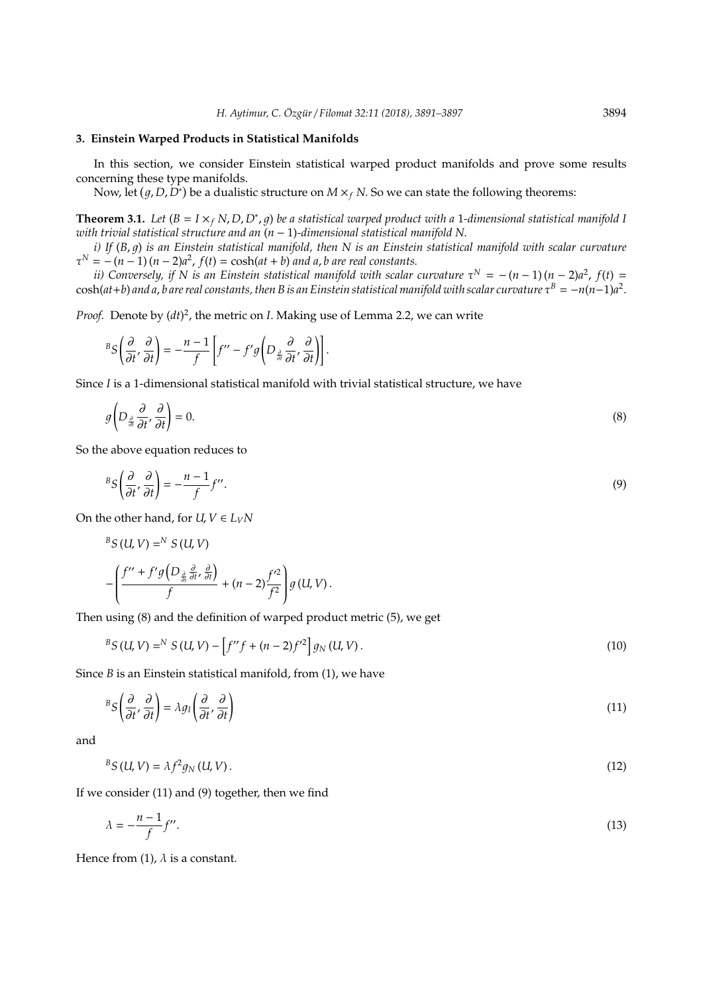#### **3. Einstein Warped Products in Statistical Manifolds**

In this section, we consider Einstein statistical warped product manifolds and prove some results concerning these type manifolds.

Now, let  $(g, D, D^*)$  be a dualistic structure on  $M \times_f N$ . So we can state the following theorems:

**Theorem 3.1.** *Let*  $(B = I \times_f N, D, D^*, g)$  *be a statistical warped product with a* 1-dimensional statistical manifold 1 *with trivial statistical structure and an* (*n* − 1)*-dimensional statistical manifold N*.

*i)* If  $(B, q)$  is an Einstein statistical manifold, then N is an Einstein statistical manifold with scalar curvature  $\tau^{N} = -(n-1)(n-2)a^{2}$ ,  $f(t) = \cosh(at+b)$  *and a*, *b* are real constants.

*ii*) Conversely, if N is an Einstein statistical manifold with scalar curvature  $\tau^N = -(n-1)(n-2)a^2$ ,  $f(t) =$  $\cosh(at+b)$  and a,  $b$  are real constants, then B is an Einstein statistical manifold with scalar curvature  $\tau^B=-n(n-1)a^2$ .

Proof. Denote by  $(dt)^2$ , the metric on *I*. Making use of Lemma 2.2, we can write

$$
{}^{B}S\left(\frac{\partial}{\partial t'},\frac{\partial}{\partial t}\right)=-\frac{n-1}{f}\left[f''-f'g\left(D_{\frac{\partial}{\partial t}}\frac{\partial}{\partial t'},\frac{\partial}{\partial t}\right)\right].
$$

Since *I* is a 1-dimensional statistical manifold with trivial statistical structure, we have

$$
g\left(D_{\frac{\partial}{\partial t}}\frac{\partial}{\partial t'},\frac{\partial}{\partial t}\right)=0.\tag{8}
$$

So the above equation reduces to

$$
{}^{B}S\left(\frac{\partial}{\partial t'},\frac{\partial}{\partial t'}\right) = -\frac{n-1}{f}f''.
$$
\n(9)

On the other hand, for  $U, V \in L_V N$ 

$$
{}^{B}S(U,V) = N S(U,V)
$$
  
 
$$
-\left(\frac{f'' + f'g(D_{\frac{\partial}{\partial t}}\frac{\partial}{\partial t}, \frac{\partial}{\partial t})}{f} + (n-2)\frac{f'^{2}}{f^{2}}\right)g(U,V).
$$

Then using (8) and the definition of warped product metric (5), we get

$$
{}^{B}S(U,V) = {}^{N}S(U,V) - [f''f + (n-2)f'^{2}]g_{N}(U,V).
$$
\n(10)

Since *B* is an Einstein statistical manifold, from (1), we have

$$
{}^{B}S\left(\frac{\partial}{\partial t'},\frac{\partial}{\partial t}\right) = \lambda g_{I}\left(\frac{\partial}{\partial t'},\frac{\partial}{\partial t}\right) \tag{11}
$$

and

 ${}^{B}S(U, V) = \lambda f^{2}$  $g_N(U, V)$  . (12)

If we consider (11) and (9) together, then we find

$$
\lambda = -\frac{n-1}{f}f''.
$$
\n(13)

Hence from (1),  $\lambda$  is a constant.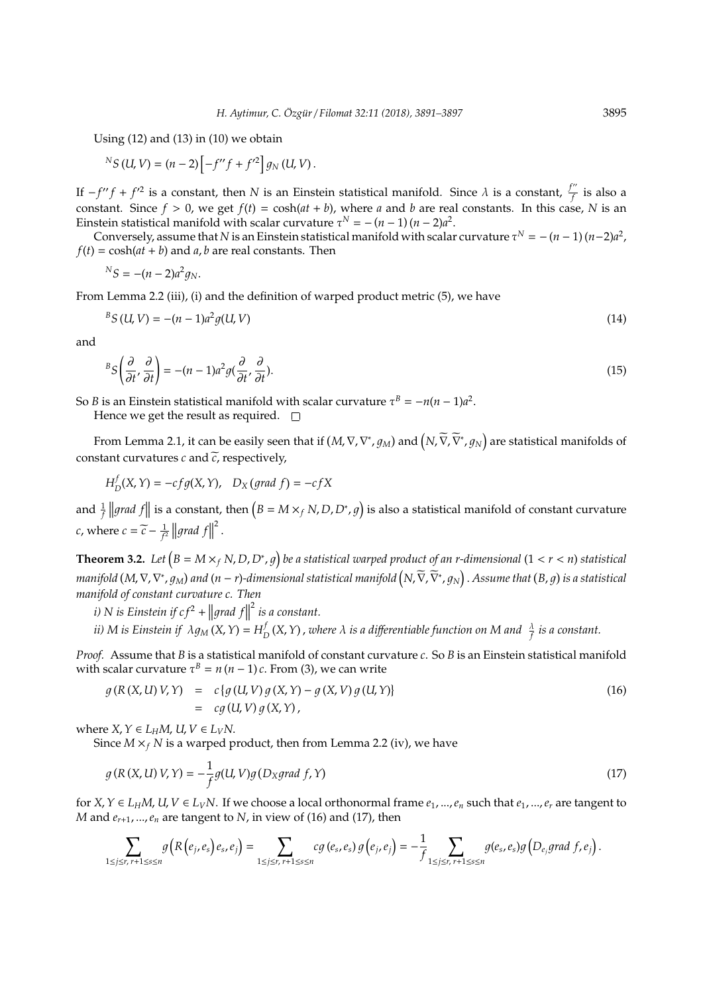Using  $(12)$  and  $(13)$  in  $(10)$  we obtain

$$
{}^{N}S(U,V) = (n-2)\left[-f''f + f'^{2}\right]g_{N}(U,V).
$$

If  $-f''f + f'^2$  is a constant, then *N* is an Einstein statistical manifold. Since  $\lambda$  is a constant,  $\frac{f''}{f}$  $\overline{f}$  is also a constant. Since  $f > 0$ , we get  $f(t) = \cosh(at + b)$ , where *a* and *b* are real constants. In this case, *N* is an Einstein statistical manifold with scalar curvature  $\tau^N = -(n-1)(n-2)a^2$ .

Conversely, assume that *N* is an Einstein statistical manifold with scalar curvature  $\tau^N = -(n-1)(n-2)a^2$ ,  $f(t) = \cosh(at + b)$  and *a*, *b* are real constants. Then

$$
{}^NS = -(n-2)a^2g_N.
$$

From Lemma 2.2 (iii), (i) and the definition of warped product metric (5), we have

$$
{}^{B}S(U,V) = -(n-1)a^{2}g(U,V)
$$
\n(14)

and

$$
{}^{B}S\left(\frac{\partial}{\partial t},\frac{\partial}{\partial t}\right) = -(n-1)a^{2}g(\frac{\partial}{\partial t},\frac{\partial}{\partial t}).
$$
\n(15)

So *B* is an Einstein statistical manifold with scalar curvature  $\tau^B = -n(n-1)a^2$ .

Hence we get the result as required.  $\square$ 

From Lemma 2.1, it can be easily seen that if  $(M,\nabla,\nabla^*,g_M)$  and  $\left(N,\widetilde{\nabla},\widetilde{\nabla}^*,g_N\right)$  are statistical manifolds of constant curvatures  $c$  and  $\tilde{c}$ , respectively,

$$
H_D^f(X, Y) = -cf g(X, Y), \quad D_X \text{ (grad } f) = -cf X
$$

and  $\frac{1}{f}$  ||grad f|| is a constant, then  $(B = M \times_f N, D, D^*, g)$  is also a statistical manifold of constant curvature *c*, where  $c = \widetilde{c} - \frac{1}{f^2} ||grad f||$ 2 .

**Theorem 3.2.** Let  $(B = M \times_f N, D, D^*, g)$  be a statistical warped product of an r-dimensional  $(1 < r < n)$  statistical  $m$ anifold (M,  $\nabla$ ,  $\nabla^*,g_M$ ) and (n – r)-dimensional statistical manifold  $\left(N,\widetilde{\nabla},\widetilde{\nabla}^*,g_N\right)$  . Assume that  $(B,g)$  is a statistical *manifold of constant curvature c. Then*

*i*) *N* is Einstein if  $cf^2 + \left\| grad \, f \right\|^2$  is a constant.  $\mathbf{u}$ 

*ii) M* is Einstein if  $\lambda g_M(X, Y) = H_I^f$  $\frac{d}{dD}(X,Y)$  , where  $\lambda$  is a differentiable function on M and  $\frac{\lambda}{f}$  is a constant.

*Proof.* Assume that *B* is a statistical manifold of constant curvature *c*. So *B* is an Einstein statistical manifold with scalar curvature  $\tau^B = n(n-1)c$ . From (3), we can write

$$
g(R(X, U) V, Y) = c \{g(U, V) g(X, Y) - g(X, V) g(U, Y)\}
$$
  
= 
$$
cg(U, V) g(X, Y),
$$
 (16)

where  $X, Y \in L_H M$ ,  $U, V \in L_V N$ .

Since  $M \times_f N$  is a warped product, then from Lemma 2.2 (iv), we have

$$
g(R(X, U) V, Y) = -\frac{1}{f}g(U, V)g(D_Xgrad f, Y)
$$
\n(17)

for  $X, Y \in L_H M$ ,  $U, V \in L_V N$ . If we choose a local orthonormal frame  $e_1, ..., e_n$  such that  $e_1, ..., e_r$  are tangent to *M* and  $e_{r+1},...,e_n$  are tangent to *N*, in view of (16) and (17), then

$$
\sum_{1\leq j\leq r,\ r+1\leq s\leq n} g\big(R\big(e_j,e_s\big)e_s,e_j\big)=\sum_{1\leq j\leq r,\ r+1\leq s\leq n}cg\big(e_s,e_s\big)g\big(e_j,e_j\big)=-\frac{1}{f}\sum_{1\leq j\leq r,\ r+1\leq s\leq n}g(e_s,e_s)g\big(D_{e_j}grad\ f,e_j\big).
$$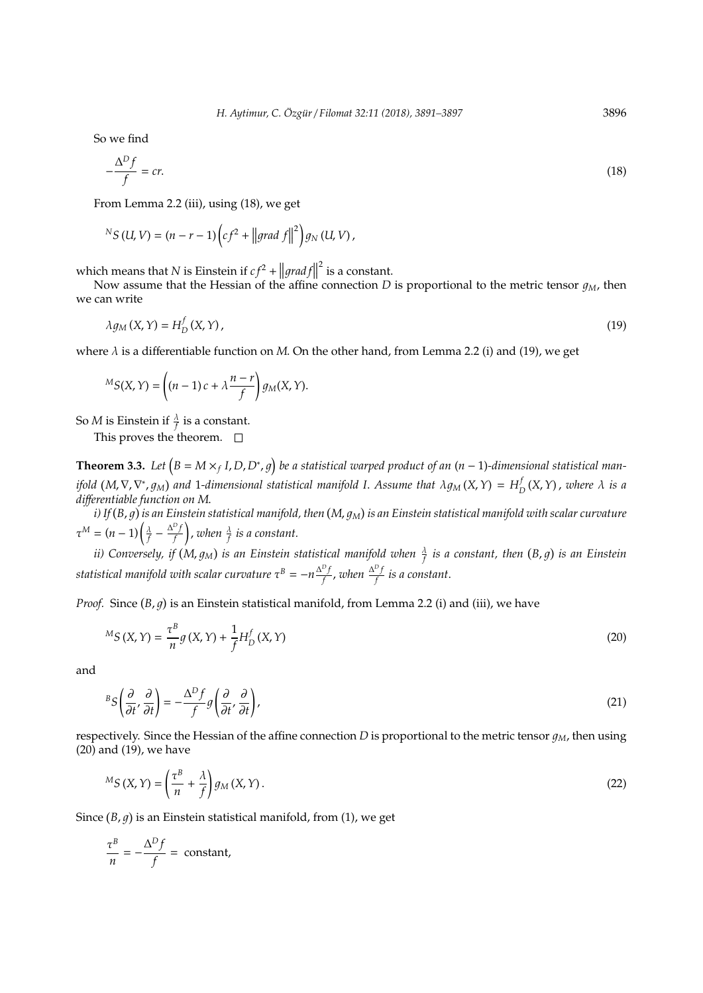So we find

$$
-\frac{\Delta^D f}{f} = cr.\tag{18}
$$

From Lemma 2.2 (iii), using (18), we get

$$
{}^{N}S(U,V)=(n-r-1)\left(cf^2+\left\|grad\ f\right\|^2\right)g_N(U,V),
$$

which means that *N* is Einstein if  $cf^2 + ||grad f||$ <br>Next accurate that the Haesian of the effine  $2$  is a constant.

Now assume that the Hessian of the affine connection *D* is proportional to the metric tensor  $q_M$ , then we can write

$$
\lambda g_M(X,Y) = H_D^f(X,Y),\tag{19}
$$

where  $\lambda$  is a differentiable function on  $M$ . On the other hand, from Lemma 2.2 (i) and (19), we get

$$
{}^M S(X,Y) = \left( (n-1)c + \lambda \frac{n-r}{f} \right) g_M(X,Y).
$$

So  $M$  is Einstein if  $\frac{\lambda}{f}$  is a constant.

This proves the theorem.  $\square$ 

**Theorem 3.3.** Let  $(B = M \times_f I, D, D^*, g)$  be a statistical warped product of an  $(n - 1)$ -dimensional statistical man*ifold*  $(M, \nabla, \nabla^*, g_M)$  and 1-dimensional statistical manifold I. Assume that  $\lambda g_M(X, Y) = H_I^f$  $D_D^U(X, Y)$ , *where*  $\lambda$  *is a di*ff*erentiable function on M*.

i) If  $(B,g)$  is an Einstein statistical manifold, then  $(M,g_M)$  is an Einstein statistical manifold with scalar curvature  $\tau^M = (n-1)\left(\frac{\lambda}{f} - \frac{\Delta^D f}{f}\right)$ *f*  $\Big)$ , when  $\frac{\lambda}{f}$  is a constant.

*ii) Conversely, if (M,*  $g_M$ *) is an Einstein statistical manifold when*  $\frac{\lambda}{f}$  *is a constant, then (B, g) is an Einstein statistical manifold with scalar curvature*  $\tau^{B} = -n \frac{\Delta^{D} f}{f}$ *f* , *when* <sup>∆</sup> *D f f is a constant*.

*Proof.* Since  $(B, g)$  is an Einstein statistical manifold, from Lemma 2.2 (i) and (iii), we have

$$
{}^{M}S(X,Y) = \frac{\tau^{B}}{n}g(X,Y) + \frac{1}{f}H_{D}^{f}(X,Y)
$$
\n(20)

and

$$
{}^{B}S\left(\frac{\partial}{\partial t'},\frac{\partial}{\partial t}\right) = -\frac{\Delta^{D}f}{f}g\left(\frac{\partial}{\partial t'},\frac{\partial}{\partial t}\right),
$$
\n(21)

respectively. Since the Hessian of the affine connection *D* is proportional to the metric tensor  $q_M$ , then using (20) and (19), we have

$$
{}^{M}S\left(X,Y\right) = \left(\frac{\tau^{B}}{n} + \frac{\lambda}{f}\right)g_{M}\left(X,Y\right). \tag{22}
$$

Since  $(B, g)$  is an Einstein statistical manifold, from  $(1)$ , we get

$$
\frac{\tau^B}{n} = -\frac{\Delta^D f}{f} = \text{constant},
$$